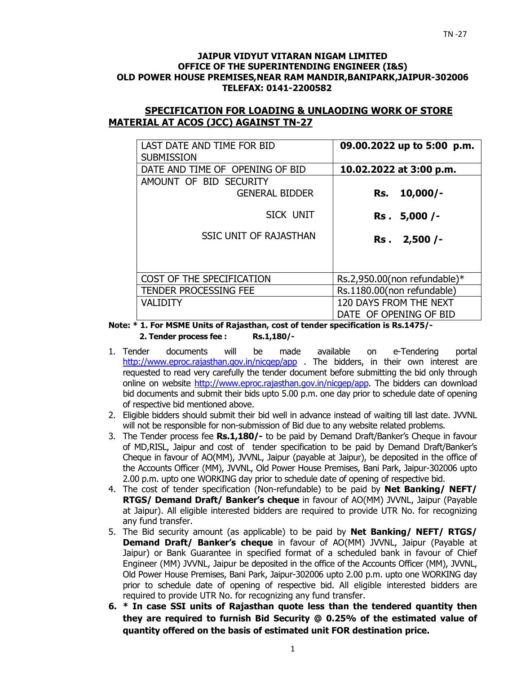#### **JAIPUR VIDYUT VITARAN NIGAM LIMITED OFFICE OF THE SUPERINTENDING ENGINEER (I&S) OLD POWER HOUSE PREMISES,NEAR RAM MANDIR,BANIPARK,JAIPUR-302006 TELEFAX: 0141-2200582**

### **SPECIFICATION FOR LOADING & UNLAODING WORK OF STORE MATERIAL AT ACOS (JCC) AGAINST TN-27**

| LAST DATE AND TIME FOR BID<br><b>SUBMISSION</b> | 09.00.2022 up to 5:00 p.m.      |
|-------------------------------------------------|---------------------------------|
| DATE AND TIME OF OPENING OF BID                 | 10.02.2022 at 3:00 p.m.         |
| AMOUNT OF BID SECURITY                          |                                 |
| <b>GENERAL BIDDER</b>                           | $10,000/-$<br>Rs.               |
| SICK UNIT                                       | Rs. 5,000 /-                    |
| <b>SSIC UNIT OF RAJASTHAN</b>                   | Rs. 2,500 /-                    |
|                                                 |                                 |
| COST OF THE SPECIFICATION                       | Rs.2,950.00(non refundable) $*$ |
| <b>TENDER PROCESSING FEE</b>                    | Rs.1180.00(non refundable)      |
| <b>VALIDITY</b>                                 | 120 DAYS FROM THE NEXT          |
|                                                 | DATE OF OPENING OF BID          |

**Note: \* 1. For MSME Units of Rajasthan, cost of tender specification is Rs.1475/- 2. Tender process fee : Rs.1,180/-** 

- 1. Tender documents will be made available on e-Tendering portal http://www.eproc.rajasthan.gov.in/nicgep/app . The bidders, in their own interest are requested to read very carefully the tender document before submitting the bid only through online on website http://www.eproc.rajasthan.gov.in/nicgep/app. The bidders can download bid documents and submit their bids upto 5.00 p.m. one day prior to schedule date of opening of respective bid mentioned above.
- 2. Eligible bidders should submit their bid well in advance instead of waiting till last date. JVVNL will not be responsible for non-submission of Bid due to any website related problems.
- 3. The Tender process fee **Rs.1,180/-** to be paid by Demand Draft/Banker's Cheque in favour of MD,RISL, Jaipur and cost of tender specification to be paid by Demand Draft/Banker's Cheque in favour of AO(MM), JVVNL, Jaipur (payable at Jaipur), be deposited in the office of the Accounts Officer (MM), JVVNL, Old Power House Premises, Bani Park, Jaipur-302006 upto 2.00 p.m. upto one WORKING day prior to schedule date of opening of respective bid.
- 4. The cost of tender specification (Non-refundable) to be paid by **Net Banking/ NEFT/ RTGS/ Demand Draft/ Banker's cheque** in favour of AO(MM) JVVNL, Jaipur (Payable at Jaipur). All eligible interested bidders are required to provide UTR No. for recognizing any fund transfer.
- 5. The Bid security amount (as applicable) to be paid by **Net Banking/ NEFT/ RTGS/ Demand Draft/ Banker's cheque** in favour of AO(MM) JVVNL, Jaipur (Payable at Jaipur) or Bank Guarantee in specified format of a scheduled bank in favour of Chief Engineer (MM) JVVNL, Jaipur be deposited in the office of the Accounts Officer (MM), JVVNL, Old Power House Premises, Bani Park, Jaipur-302006 upto 2.00 p.m. upto one WORKING day prior to schedule date of opening of respective bid. All eligible interested bidders are required to provide UTR No. for recognizing any fund transfer.
- **6. \* In case SSI units of Rajasthan quote less than the tendered quantity then they are required to furnish Bid Security @ 0.25% of the estimated value of quantity offered on the basis of estimated unit FOR destination price.**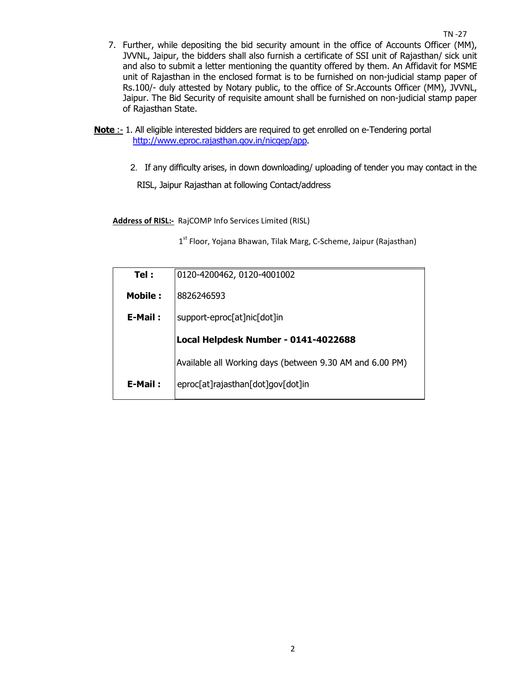- 7. Further, while depositing the bid security amount in the office of Accounts Officer (MM), JVVNL, Jaipur, the bidders shall also furnish a certificate of SSI unit of Rajasthan/ sick unit and also to submit a letter mentioning the quantity offered by them. An Affidavit for MSME unit of Rajasthan in the enclosed format is to be furnished on non-judicial stamp paper of Rs.100/- duly attested by Notary public, to the office of Sr.Accounts Officer (MM), JVVNL, Jaipur. The Bid Security of requisite amount shall be furnished on non-judicial stamp paper of Rajasthan State.
- **Note :** 1. All eligible interested bidders are required to get enrolled on e-Tendering portal http://www.eproc.rajasthan.gov.in/nicgep/app.
	- 2.If any difficulty arises, in down downloading/ uploading of tender you may contact in the

RISL, Jaipur Rajasthan at following Contact/address

**Address of RISL:-** RajCOMP Info Services Limited (RISL)

1<sup>st</sup> Floor, Yojana Bhawan, Tilak Marg, C-Scheme, Jaipur (Rajasthan)

| Tel:           | 0120-4200462, 0120-4001002                               |
|----------------|----------------------------------------------------------|
| <b>Mobile:</b> | 8826246593                                               |
| E-Mail:        | support-eproc[at]nic[dot]in                              |
|                | Local Helpdesk Number - 0141-4022688                     |
|                | Available all Working days (between 9.30 AM and 6.00 PM) |
| E-Mail:        | eproc[at]rajasthan[dot]gov[dot]in                        |
|                |                                                          |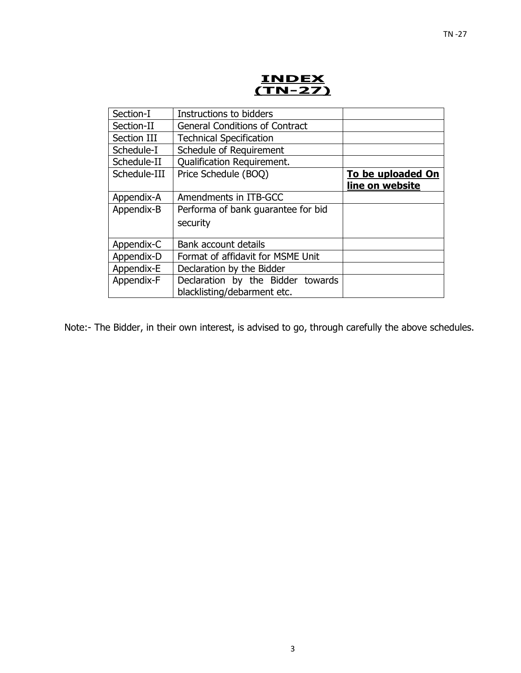**INDEX (TN-27)** 

| Section-I    | Instructions to bidders               |                   |
|--------------|---------------------------------------|-------------------|
| Section-II   | <b>General Conditions of Contract</b> |                   |
| Section III  | <b>Technical Specification</b>        |                   |
| Schedule-I   | Schedule of Requirement               |                   |
| Schedule-II  | <b>Qualification Requirement.</b>     |                   |
| Schedule-III | Price Schedule (BOQ)                  | To be uploaded On |
|              |                                       | line on website   |
| Appendix-A   | Amendments in ITB-GCC                 |                   |
| Appendix-B   | Performa of bank quarantee for bid    |                   |
|              | security                              |                   |
|              |                                       |                   |
| Appendix-C   | Bank account details                  |                   |
| Appendix-D   | Format of affidavit for MSME Unit     |                   |
| Appendix-E   | Declaration by the Bidder             |                   |
| Appendix-F   | Declaration by the Bidder towards     |                   |
|              | blacklisting/debarment etc.           |                   |
|              |                                       |                   |

Note:- The Bidder, in their own interest, is advised to go, through carefully the above schedules.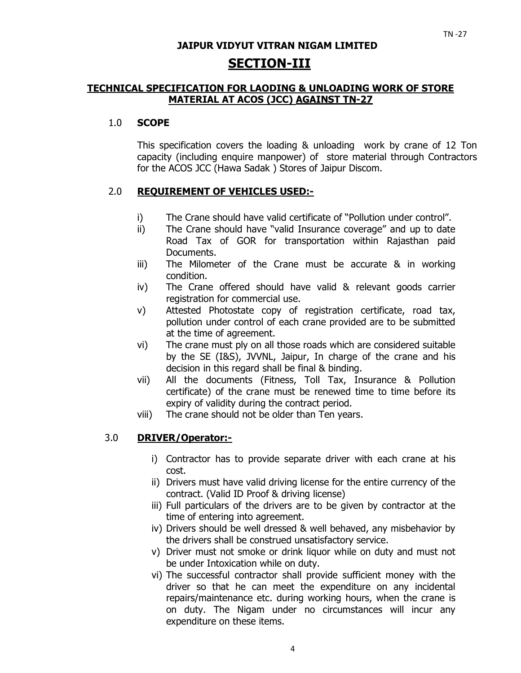# **JAIPUR VIDYUT VITRAN NIGAM LIMITED SECTION-III**

### **TECHNICAL SPECIFICATION FOR LAODING & UNLOADING WORK OF STORE MATERIAL AT ACOS (JCC) AGAINST TN-27**

### 1.0 **SCOPE**

This specification covers the loading & unloading work by crane of 12 Ton capacity (including enquire manpower) of store material through Contractors for the ACOS JCC (Hawa Sadak ) Stores of Jaipur Discom.

# 2.0 **REQUIREMENT OF VEHICLES USED:-**

- i) The Crane should have valid certificate of "Pollution under control".
- ii) The Crane should have "valid Insurance coverage" and up to date Road Tax of GOR for transportation within Rajasthan paid Documents.
- iii) The Milometer of the Crane must be accurate & in working condition.
- iv) The Crane offered should have valid & relevant goods carrier registration for commercial use.
- v) Attested Photostate copy of registration certificate, road tax, pollution under control of each crane provided are to be submitted at the time of agreement.
- vi) The crane must ply on all those roads which are considered suitable by the SE (I&S), JVVNL, Jaipur, In charge of the crane and his decision in this regard shall be final & binding.
- vii) All the documents (Fitness, Toll Tax, Insurance & Pollution certificate) of the crane must be renewed time to time before its expiry of validity during the contract period.
- viii) The crane should not be older than Ten years.

### 3.0 **DRIVER/Operator:-**

- i) Contractor has to provide separate driver with each crane at his cost.
- ii) Drivers must have valid driving license for the entire currency of the contract. (Valid ID Proof & driving license)
- iii) Full particulars of the drivers are to be given by contractor at the time of entering into agreement.
- iv) Drivers should be well dressed & well behaved, any misbehavior by the drivers shall be construed unsatisfactory service.
- v) Driver must not smoke or drink liquor while on duty and must not be under Intoxication while on duty.
- vi) The successful contractor shall provide sufficient money with the driver so that he can meet the expenditure on any incidental repairs/maintenance etc. during working hours, when the crane is on duty. The Nigam under no circumstances will incur any expenditure on these items.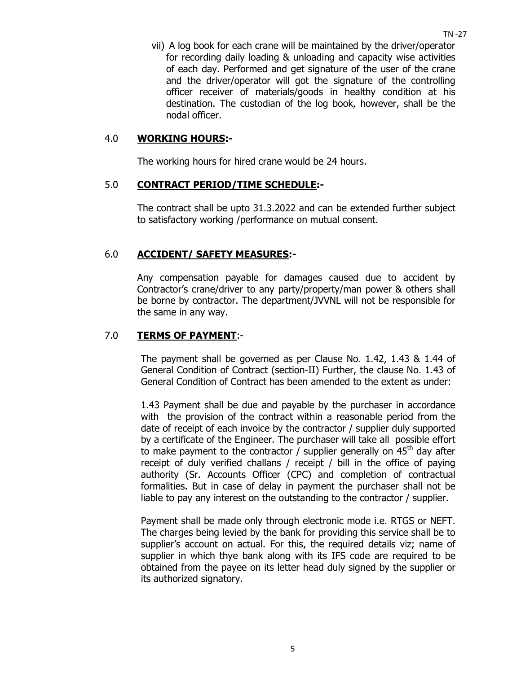vii) A log book for each crane will be maintained by the driver/operator for recording daily loading & unloading and capacity wise activities of each day. Performed and get signature of the user of the crane and the driver/operator will got the signature of the controlling officer receiver of materials/goods in healthy condition at his destination. The custodian of the log book, however, shall be the nodal officer.

#### 4.0 **WORKING HOURS:-**

The working hours for hired crane would be 24 hours.

### 5.0 **CONTRACT PERIOD/TIME SCHEDULE:-**

The contract shall be upto 31.3.2022 and can be extended further subject to satisfactory working /performance on mutual consent.

#### 6.0 **ACCIDENT/ SAFETY MEASURES:-**

Any compensation payable for damages caused due to accident by Contractor's crane/driver to any party/property/man power & others shall be borne by contractor. The department/JVVNL will not be responsible for the same in any way.

#### 7.0 **TERMS OF PAYMENT**:-

The payment shall be governed as per Clause No. 1.42, 1.43 & 1.44 of General Condition of Contract (section-II) Further, the clause No. 1.43 of General Condition of Contract has been amended to the extent as under:

1.43 Payment shall be due and payable by the purchaser in accordance with the provision of the contract within a reasonable period from the date of receipt of each invoice by the contractor / supplier duly supported by a certificate of the Engineer. The purchaser will take all possible effort to make payment to the contractor / supplier generally on  $45<sup>th</sup>$  day after receipt of duly verified challans / receipt / bill in the office of paying authority (Sr. Accounts Officer (CPC) and completion of contractual formalities. But in case of delay in payment the purchaser shall not be liable to pay any interest on the outstanding to the contractor / supplier.

Payment shall be made only through electronic mode i.e. RTGS or NEFT. The charges being levied by the bank for providing this service shall be to supplier's account on actual. For this, the required details viz; name of supplier in which thye bank along with its IFS code are required to be obtained from the payee on its letter head duly signed by the supplier or its authorized signatory.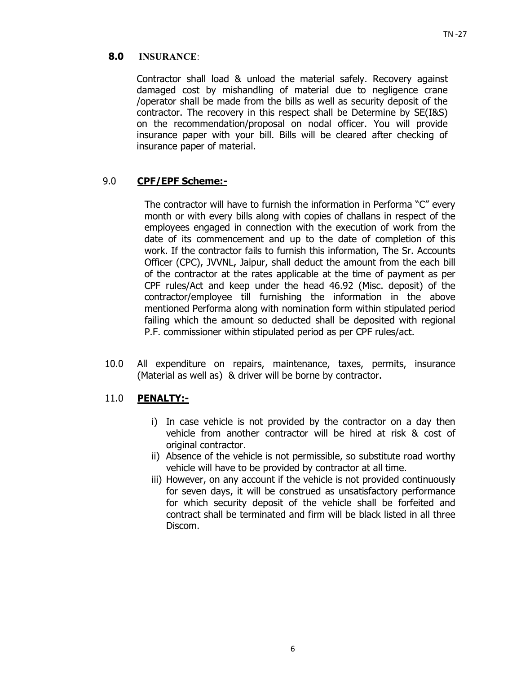### **8.0 INSURANCE**:

Contractor shall load & unload the material safely. Recovery against damaged cost by mishandling of material due to negligence crane /operator shall be made from the bills as well as security deposit of the contractor. The recovery in this respect shall be Determine by SE(I&S) on the recommendation/proposal on nodal officer. You will provide insurance paper with your bill. Bills will be cleared after checking of insurance paper of material.

### 9.0 **CPF/EPF Scheme:-**

The contractor will have to furnish the information in Performa "C" every month or with every bills along with copies of challans in respect of the employees engaged in connection with the execution of work from the date of its commencement and up to the date of completion of this work. If the contractor fails to furnish this information, The Sr. Accounts Officer (CPC), JVVNL, Jaipur, shall deduct the amount from the each bill of the contractor at the rates applicable at the time of payment as per CPF rules/Act and keep under the head 46.92 (Misc. deposit) of the contractor/employee till furnishing the information in the above mentioned Performa along with nomination form within stipulated period failing which the amount so deducted shall be deposited with regional P.F. commissioner within stipulated period as per CPF rules/act.

10.0 All expenditure on repairs, maintenance, taxes, permits, insurance (Material as well as) & driver will be borne by contractor.

### 11.0 **PENALTY:-**

- i) In case vehicle is not provided by the contractor on a day then vehicle from another contractor will be hired at risk & cost of original contractor.
- ii) Absence of the vehicle is not permissible, so substitute road worthy vehicle will have to be provided by contractor at all time.
- iii) However, on any account if the vehicle is not provided continuously for seven days, it will be construed as unsatisfactory performance for which security deposit of the vehicle shall be forfeited and contract shall be terminated and firm will be black listed in all three Discom.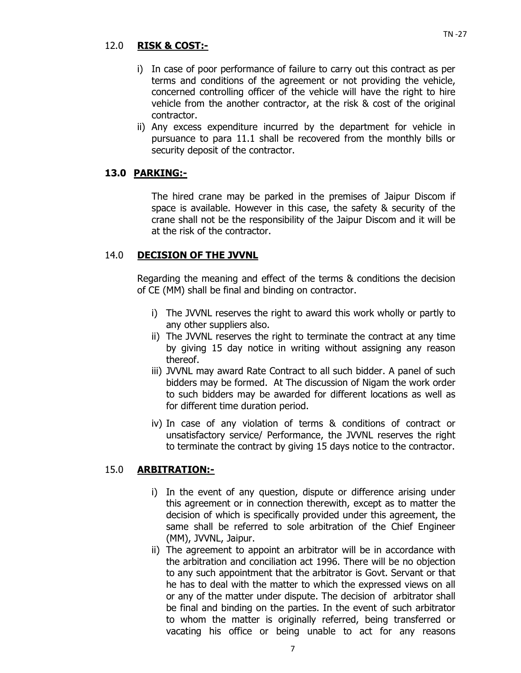### 12.0 **RISK & COST:-**

- i) In case of poor performance of failure to carry out this contract as per terms and conditions of the agreement or not providing the vehicle, concerned controlling officer of the vehicle will have the right to hire vehicle from the another contractor, at the risk & cost of the original contractor.
- ii) Any excess expenditure incurred by the department for vehicle in pursuance to para 11.1 shall be recovered from the monthly bills or security deposit of the contractor.

### **13.0 PARKING:-**

The hired crane may be parked in the premises of Jaipur Discom if space is available. However in this case, the safety & security of the crane shall not be the responsibility of the Jaipur Discom and it will be at the risk of the contractor.

#### 14.0 **DECISION OF THE JVVNL**

Regarding the meaning and effect of the terms & conditions the decision of CE (MM) shall be final and binding on contractor.

- i) The JVVNL reserves the right to award this work wholly or partly to any other suppliers also.
- ii) The JVVNL reserves the right to terminate the contract at any time by giving 15 day notice in writing without assigning any reason thereof.
- iii) JVVNL may award Rate Contract to all such bidder. A panel of such bidders may be formed. At The discussion of Nigam the work order to such bidders may be awarded for different locations as well as for different time duration period.
- iv) In case of any violation of terms & conditions of contract or unsatisfactory service/ Performance, the JVVNL reserves the right to terminate the contract by giving 15 days notice to the contractor.

#### 15.0 **ARBITRATION:-**

- i) In the event of any question, dispute or difference arising under this agreement or in connection therewith, except as to matter the decision of which is specifically provided under this agreement, the same shall be referred to sole arbitration of the Chief Engineer (MM), JVVNL, Jaipur.
- ii) The agreement to appoint an arbitrator will be in accordance with the arbitration and conciliation act 1996. There will be no objection to any such appointment that the arbitrator is Govt. Servant or that he has to deal with the matter to which the expressed views on all or any of the matter under dispute. The decision of arbitrator shall be final and binding on the parties. In the event of such arbitrator to whom the matter is originally referred, being transferred or vacating his office or being unable to act for any reasons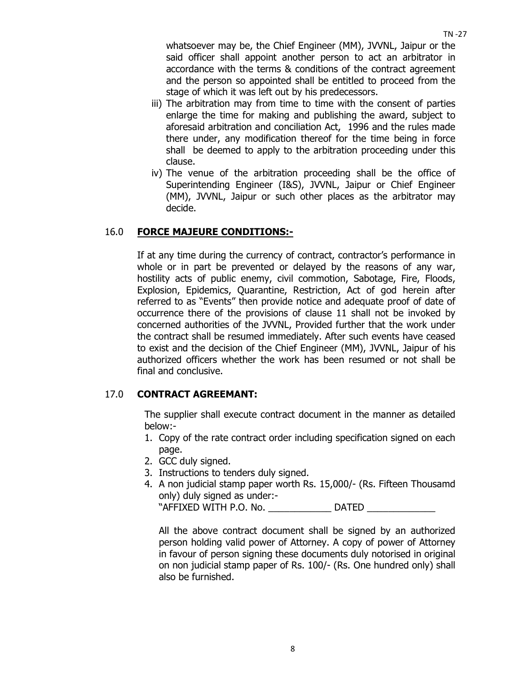$TN - 27$ 

whatsoever may be, the Chief Engineer (MM), JVVNL, Jaipur or the said officer shall appoint another person to act an arbitrator in accordance with the terms & conditions of the contract agreement and the person so appointed shall be entitled to proceed from the stage of which it was left out by his predecessors.

- iii) The arbitration may from time to time with the consent of parties enlarge the time for making and publishing the award, subject to aforesaid arbitration and conciliation Act, 1996 and the rules made there under, any modification thereof for the time being in force shall be deemed to apply to the arbitration proceeding under this clause.
- iv) The venue of the arbitration proceeding shall be the office of Superintending Engineer (I&S), JVVNL, Jaipur or Chief Engineer (MM), JVVNL, Jaipur or such other places as the arbitrator may decide.

# 16.0 **FORCE MAJEURE CONDITIONS:-**

 If at any time during the currency of contract, contractor's performance in whole or in part be prevented or delayed by the reasons of any war, hostility acts of public enemy, civil commotion, Sabotage, Fire, Floods, Explosion, Epidemics, Quarantine, Restriction, Act of god herein after referred to as "Events" then provide notice and adequate proof of date of occurrence there of the provisions of clause 11 shall not be invoked by concerned authorities of the JVVNL, Provided further that the work under the contract shall be resumed immediately. After such events have ceased to exist and the decision of the Chief Engineer (MM), JVVNL, Jaipur of his authorized officers whether the work has been resumed or not shall be final and conclusive.

# 17.0 **CONTRACT AGREEMANT:**

The supplier shall execute contract document in the manner as detailed below:-

- 1. Copy of the rate contract order including specification signed on each page.
- 2. GCC duly signed.
- 3. Instructions to tenders duly signed.
- 4. A non judicial stamp paper worth Rs. 15,000/- (Rs. Fifteen Thousamd only) duly signed as under:-

"AFFIXED WITH P.O. No. \_\_\_\_\_\_\_\_\_\_\_\_ DATED \_\_\_\_\_\_\_\_\_\_\_\_\_

All the above contract document shall be signed by an authorized person holding valid power of Attorney. A copy of power of Attorney in favour of person signing these documents duly notorised in original on non judicial stamp paper of Rs. 100/- (Rs. One hundred only) shall also be furnished.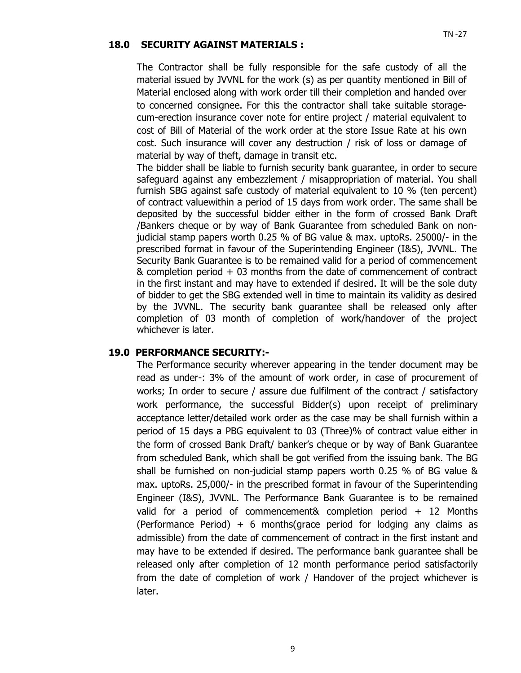#### **18.0 SECURITY AGAINST MATERIALS :**

The Contractor shall be fully responsible for the safe custody of all the material issued by JVVNL for the work (s) as per quantity mentioned in Bill of Material enclosed along with work order till their completion and handed over to concerned consignee. For this the contractor shall take suitable storagecum-erection insurance cover note for entire project / material equivalent to cost of Bill of Material of the work order at the store Issue Rate at his own cost. Such insurance will cover any destruction / risk of loss or damage of material by way of theft, damage in transit etc.

The bidder shall be liable to furnish security bank guarantee, in order to secure safeguard against any embezzlement / misappropriation of material. You shall furnish SBG against safe custody of material equivalent to 10 % (ten percent) of contract valuewithin a period of 15 days from work order. The same shall be deposited by the successful bidder either in the form of crossed Bank Draft /Bankers cheque or by way of Bank Guarantee from scheduled Bank on nonjudicial stamp papers worth 0.25 % of BG value & max. uptoRs. 25000/- in the prescribed format in favour of the Superintending Engineer (I&S), JVVNL. The Security Bank Guarantee is to be remained valid for a period of commencement & completion period + 03 months from the date of commencement of contract in the first instant and may have to extended if desired. It will be the sole duty of bidder to get the SBG extended well in time to maintain its validity as desired by the JVVNL. The security bank guarantee shall be released only after completion of 03 month of completion of work/handover of the project whichever is later.

#### **19.0 PERFORMANCE SECURITY:-**

The Performance security wherever appearing in the tender document may be read as under-: 3% of the amount of work order, in case of procurement of works; In order to secure / assure due fulfilment of the contract / satisfactory work performance, the successful Bidder(s) upon receipt of preliminary acceptance letter/detailed work order as the case may be shall furnish within a period of 15 days a PBG equivalent to 03 (Three)% of contract value either in the form of crossed Bank Draft/ banker's cheque or by way of Bank Guarantee from scheduled Bank, which shall be got verified from the issuing bank. The BG shall be furnished on non-judicial stamp papers worth 0.25 % of BG value & max. uptoRs. 25,000/- in the prescribed format in favour of the Superintending Engineer (I&S), JVVNL. The Performance Bank Guarantee is to be remained valid for a period of commencement& completion period + 12 Months (Performance Period)  $+ 6$  months(grace period for lodging any claims as admissible) from the date of commencement of contract in the first instant and may have to be extended if desired. The performance bank guarantee shall be released only after completion of 12 month performance period satisfactorily from the date of completion of work / Handover of the project whichever is later.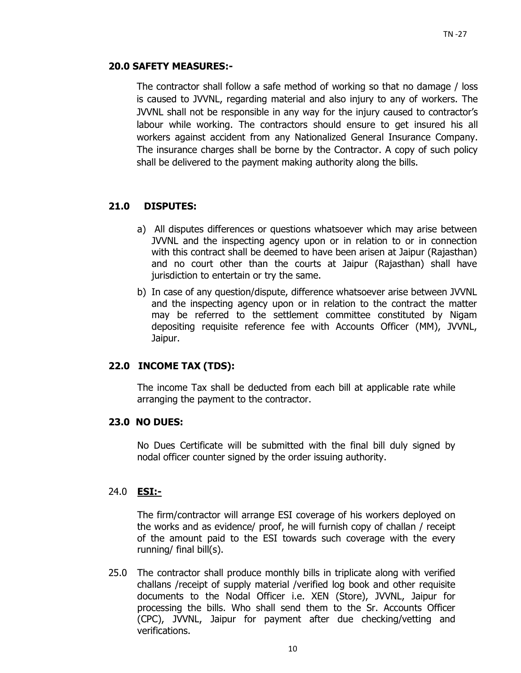### **20.0 SAFETY MEASURES:-**

The contractor shall follow a safe method of working so that no damage / loss is caused to JVVNL, regarding material and also injury to any of workers. The JVVNL shall not be responsible in any way for the injury caused to contractor's labour while working. The contractors should ensure to get insured his all workers against accident from any Nationalized General Insurance Company. The insurance charges shall be borne by the Contractor. A copy of such policy shall be delivered to the payment making authority along the bills.

# **21.0 DISPUTES:**

- a) All disputes differences or questions whatsoever which may arise between JVVNL and the inspecting agency upon or in relation to or in connection with this contract shall be deemed to have been arisen at Jaipur (Rajasthan) and no court other than the courts at Jaipur (Rajasthan) shall have jurisdiction to entertain or try the same.
- b) In case of any question/dispute, difference whatsoever arise between JVVNL and the inspecting agency upon or in relation to the contract the matter may be referred to the settlement committee constituted by Nigam depositing requisite reference fee with Accounts Officer (MM), JVVNL, Jaipur.

### **22.0 INCOME TAX (TDS):**

The income Tax shall be deducted from each bill at applicable rate while arranging the payment to the contractor.

### **23.0 NO DUES:**

No Dues Certificate will be submitted with the final bill duly signed by nodal officer counter signed by the order issuing authority.

### 24.0 **ESI:-**

The firm/contractor will arrange ESI coverage of his workers deployed on the works and as evidence/ proof, he will furnish copy of challan / receipt of the amount paid to the ESI towards such coverage with the every running/ final bill(s).

25.0 The contractor shall produce monthly bills in triplicate along with verified challans /receipt of supply material /verified log book and other requisite documents to the Nodal Officer i.e. XEN (Store), JVVNL, Jaipur for processing the bills. Who shall send them to the Sr. Accounts Officer (CPC), JVVNL, Jaipur for payment after due checking/vetting and verifications.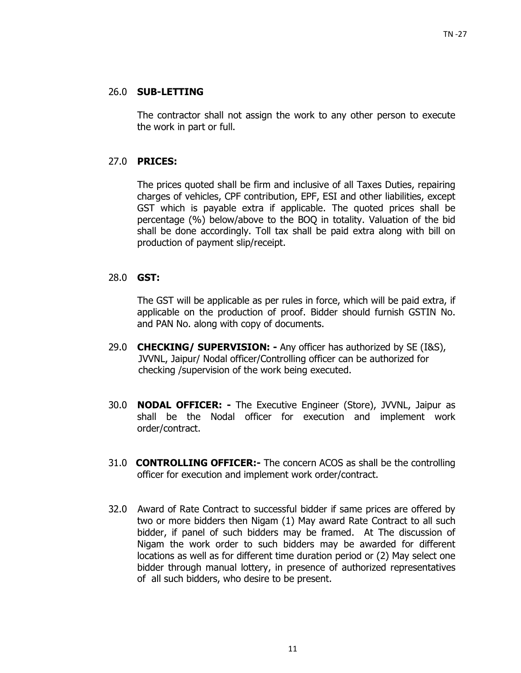### 26.0 **SUB-LETTING**

 The contractor shall not assign the work to any other person to execute the work in part or full.

# 27.0 **PRICES:**

 The prices quoted shall be firm and inclusive of all Taxes Duties, repairing charges of vehicles, CPF contribution, EPF, ESI and other liabilities, except GST which is payable extra if applicable. The quoted prices shall be percentage (%) below/above to the BOQ in totality. Valuation of the bid shall be done accordingly. Toll tax shall be paid extra along with bill on production of payment slip/receipt.

### 28.0 **GST:**

The GST will be applicable as per rules in force, which will be paid extra, if applicable on the production of proof. Bidder should furnish GSTIN No. and PAN No. along with copy of documents.

- 29.0 **CHECKING/ SUPERVISION:** Any officer has authorized by SE (I&S), JVVNL, Jaipur/ Nodal officer/Controlling officer can be authorized for checking /supervision of the work being executed.
- 30.0 **NODAL OFFICER:** The Executive Engineer (Store), JVVNL, Jaipur as shall be the Nodal officer for execution and implement work order/contract.
- 31.0 **CONTROLLING OFFICER:-** The concern ACOS as shall be the controlling officer for execution and implement work order/contract.
- 32.0Award of Rate Contract to successful bidder if same prices are offered by two or more bidders then Nigam (1) May award Rate Contract to all such bidder, if panel of such bidders may be framed. At The discussion of Nigam the work order to such bidders may be awarded for different locations as well as for different time duration period or (2) May select one bidder through manual lottery, in presence of authorized representatives of all such bidders, who desire to be present.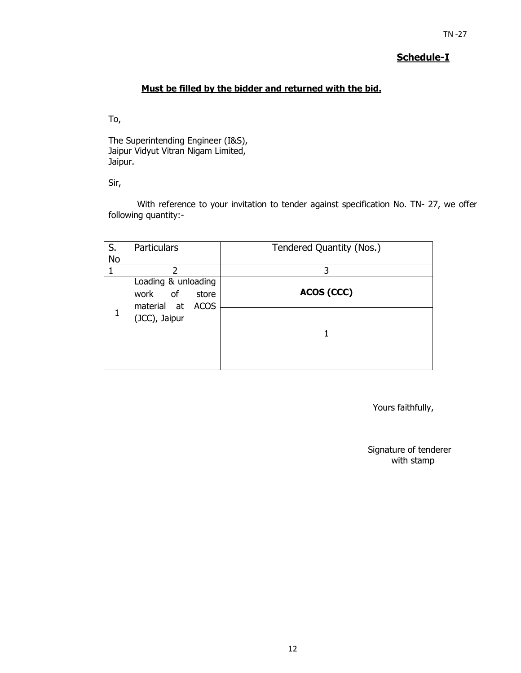# **Schedule-I**

# **Must be filled by the bidder and returned with the bid.**

To,

The Superintending Engineer (I&S), Jaipur Vidyut Vitran Nigam Limited, Jaipur.

Sir,

With reference to your invitation to tender against specification No. TN- 27, we offer following quantity:-

| S.        | <b>Particulars</b>                                             | Tendered Quantity (Nos.) |
|-----------|----------------------------------------------------------------|--------------------------|
| <b>No</b> |                                                                |                          |
|           | っ                                                              | 3                        |
|           | Loading & unloading<br>of<br>work<br>store<br>material at ACOS | ACOS (CCC)               |
| 1         | (JCC), Jaipur                                                  |                          |

Yours faithfully,

Signature of tenderer with stamp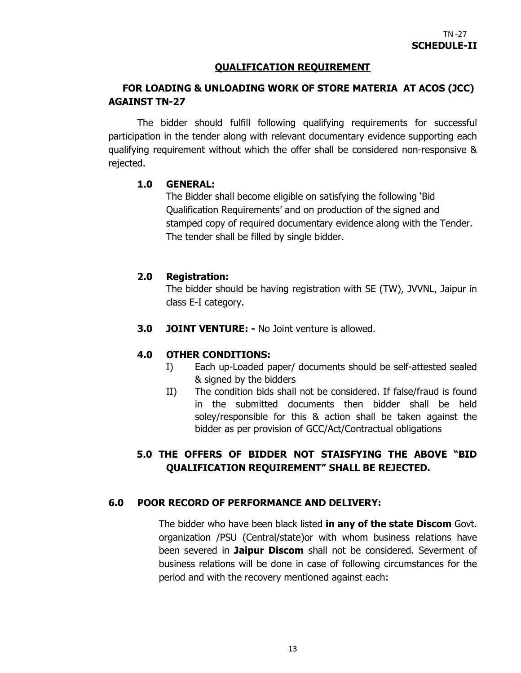### **QUALIFICATION REQUIREMENT**

# **FOR LOADING & UNLOADING WORK OF STORE MATERIA AT ACOS (JCC) AGAINST TN-27**

The bidder should fulfill following qualifying requirements for successful participation in the tender along with relevant documentary evidence supporting each qualifying requirement without which the offer shall be considered non-responsive & rejected.

### **1.0 GENERAL:**

The Bidder shall become eligible on satisfying the following 'Bid Qualification Requirements' and on production of the signed and stamped copy of required documentary evidence along with the Tender. The tender shall be filled by single bidder.

# **2.0 Registration:**

The bidder should be having registration with SE (TW), JVVNL, Jaipur in class E-I category.

**3.0 JOINT VENTURE: -** No Joint venture is allowed.

### **4.0 OTHER CONDITIONS:**

- I) Each up-Loaded paper/ documents should be self-attested sealed & signed by the bidders
- II) The condition bids shall not be considered. If false/fraud is found in the submitted documents then bidder shall be held soley/responsible for this & action shall be taken against the bidder as per provision of GCC/Act/Contractual obligations

# **5.0 THE OFFERS OF BIDDER NOT STAISFYING THE ABOVE "BID QUALIFICATION REQUIREMENT" SHALL BE REJECTED.**

# **6.0 POOR RECORD OF PERFORMANCE AND DELIVERY:**

The bidder who have been black listed **in any of the state Discom** Govt. organization /PSU (Central/state)or with whom business relations have been severed in **Jaipur Discom** shall not be considered. Severment of business relations will be done in case of following circumstances for the period and with the recovery mentioned against each: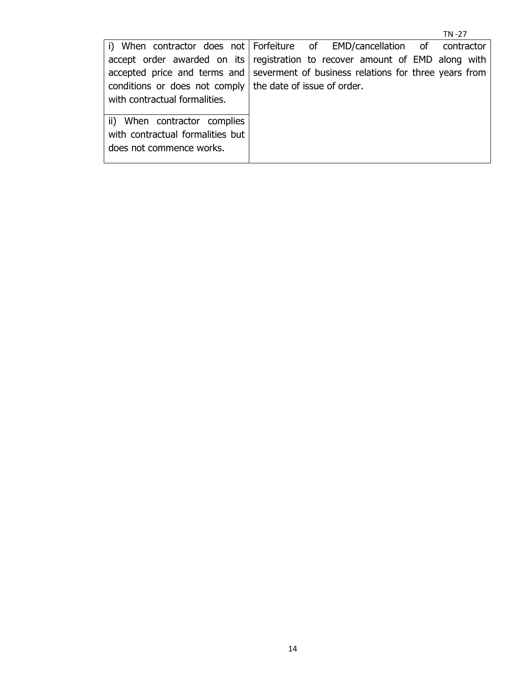|                                                                                   |  |  |  | TN-27 |  |
|-----------------------------------------------------------------------------------|--|--|--|-------|--|
| i) When contractor does not Forfeiture of EMD/cancellation of contractor          |  |  |  |       |  |
| accept order awarded on its registration to recover amount of EMD along with      |  |  |  |       |  |
| accepted price and terms and severment of business relations for three years from |  |  |  |       |  |
| conditions or does not comply   the date of issue of order.                       |  |  |  |       |  |
| with contractual formalities.                                                     |  |  |  |       |  |
|                                                                                   |  |  |  |       |  |
| ii) When contractor complies                                                      |  |  |  |       |  |
| with contractual formalities but                                                  |  |  |  |       |  |
| does not commence works.                                                          |  |  |  |       |  |
|                                                                                   |  |  |  |       |  |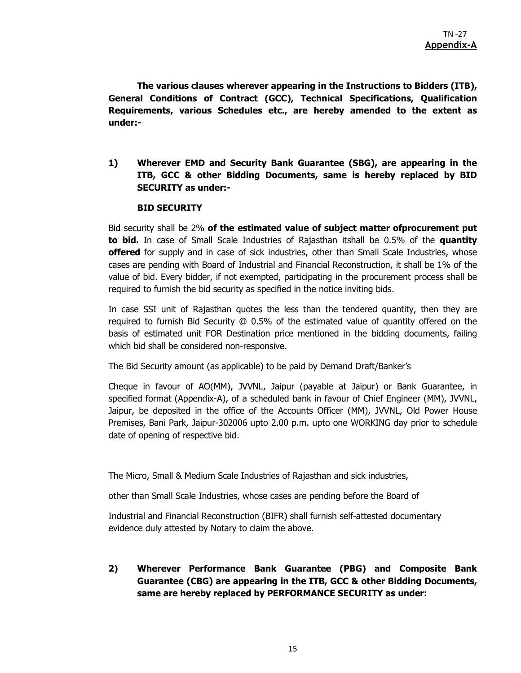**The various clauses wherever appearing in the Instructions to Bidders (ITB), General Conditions of Contract (GCC), Technical Specifications, Qualification Requirements, various Schedules etc., are hereby amended to the extent as under:-** 

**1) Wherever EMD and Security Bank Guarantee (SBG), are appearing in the ITB, GCC & other Bidding Documents, same is hereby replaced by BID SECURITY as under:-** 

#### **BID SECURITY**

Bid security shall be 2% **of the estimated value of subject matter ofprocurement put to bid.** In case of Small Scale Industries of Rajasthan itshall be 0.5% of the **quantity offered** for supply and in case of sick industries, other than Small Scale Industries, whose cases are pending with Board of Industrial and Financial Reconstruction, it shall be 1% of the value of bid. Every bidder, if not exempted, participating in the procurement process shall be required to furnish the bid security as specified in the notice inviting bids.

In case SSI unit of Rajasthan quotes the less than the tendered quantity, then they are required to furnish Bid Security @ 0.5% of the estimated value of quantity offered on the basis of estimated unit FOR Destination price mentioned in the bidding documents, failing which bid shall be considered non-responsive.

The Bid Security amount (as applicable) to be paid by Demand Draft/Banker's

Cheque in favour of AO(MM), JVVNL, Jaipur (payable at Jaipur) or Bank Guarantee, in specified format (Appendix-A), of a scheduled bank in favour of Chief Engineer (MM), JVVNL, Jaipur, be deposited in the office of the Accounts Officer (MM), JVVNL, Old Power House Premises, Bani Park, Jaipur-302006 upto 2.00 p.m. upto one WORKING day prior to schedule date of opening of respective bid.

The Micro, Small & Medium Scale Industries of Rajasthan and sick industries,

other than Small Scale Industries, whose cases are pending before the Board of

Industrial and Financial Reconstruction (BIFR) shall furnish self-attested documentary evidence duly attested by Notary to claim the above.

**2) Wherever Performance Bank Guarantee (PBG) and Composite Bank Guarantee (CBG) are appearing in the ITB, GCC & other Bidding Documents, same are hereby replaced by PERFORMANCE SECURITY as under:**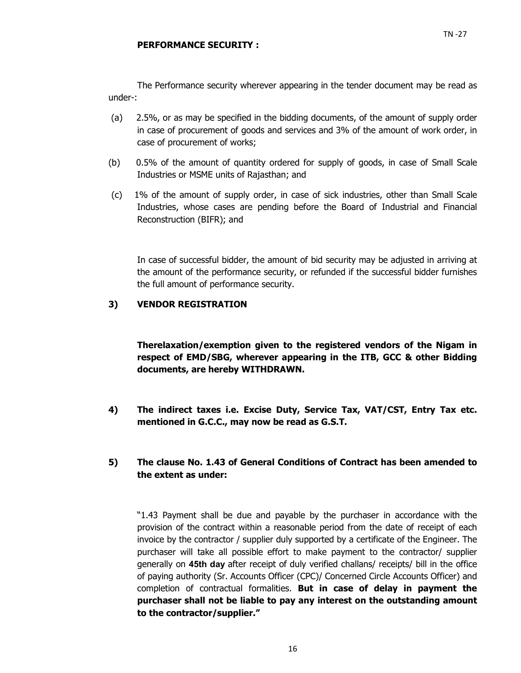The Performance security wherever appearing in the tender document may be read as under-:

- (a) 2.5%, or as may be specified in the bidding documents, of the amount of supply order in case of procurement of goods and services and 3% of the amount of work order, in case of procurement of works;
- (b) 0.5% of the amount of quantity ordered for supply of goods, in case of Small Scale Industries or MSME units of Rajasthan; and
- (c) 1% of the amount of supply order, in case of sick industries, other than Small Scale Industries, whose cases are pending before the Board of Industrial and Financial Reconstruction (BIFR); and

In case of successful bidder, the amount of bid security may be adjusted in arriving at the amount of the performance security, or refunded if the successful bidder furnishes the full amount of performance security.

### **3) VENDOR REGISTRATION**

**Therelaxation/exemption given to the registered vendors of the Nigam in respect of EMD/SBG, wherever appearing in the ITB, GCC & other Bidding documents, are hereby WITHDRAWN.** 

- **4) The indirect taxes i.e. Excise Duty, Service Tax, VAT/CST, Entry Tax etc. mentioned in G.C.C., may now be read as G.S.T.**
- **5) The clause No. 1.43 of General Conditions of Contract has been amended to the extent as under:**

"1.43 Payment shall be due and payable by the purchaser in accordance with the provision of the contract within a reasonable period from the date of receipt of each invoice by the contractor / supplier duly supported by a certificate of the Engineer. The purchaser will take all possible effort to make payment to the contractor/ supplier generally on **45th day** after receipt of duly verified challans/ receipts/ bill in the office of paying authority (Sr. Accounts Officer (CPC)/ Concerned Circle Accounts Officer) and completion of contractual formalities. **But in case of delay in payment the purchaser shall not be liable to pay any interest on the outstanding amount to the contractor/supplier."**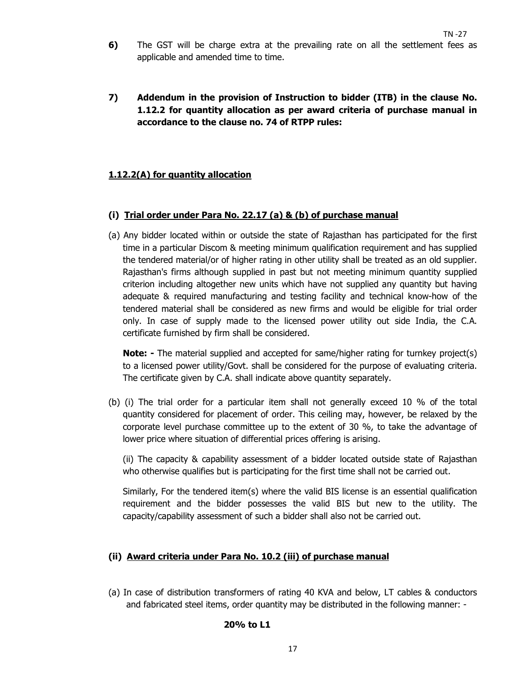- **6)** The GST will be charge extra at the prevailing rate on all the settlement fees as applicable and amended time to time.
- **7) Addendum in the provision of Instruction to bidder (ITB) in the clause No. 1.12.2 for quantity allocation as per award criteria of purchase manual in accordance to the clause no. 74 of RTPP rules:**

### **1.12.2(A) for quantity allocation**

#### **(i) Trial order under Para No. 22.17 (a) & (b) of purchase manual**

(a) Any bidder located within or outside the state of Rajasthan has participated for the first time in a particular Discom & meeting minimum qualification requirement and has supplied the tendered material/or of higher rating in other utility shall be treated as an old supplier. Rajasthan's firms although supplied in past but not meeting minimum quantity supplied criterion including altogether new units which have not supplied any quantity but having adequate & required manufacturing and testing facility and technical know-how of the tendered material shall be considered as new firms and would be eligible for trial order only. In case of supply made to the licensed power utility out side India, the C.A. certificate furnished by firm shall be considered.

**Note:** - The material supplied and accepted for same/higher rating for turnkey project(s) to a licensed power utility/Govt. shall be considered for the purpose of evaluating criteria. The certificate given by C.A. shall indicate above quantity separately.

(b) (i) The trial order for a particular item shall not generally exceed 10 % of the total quantity considered for placement of order. This ceiling may, however, be relaxed by the corporate level purchase committee up to the extent of 30 %, to take the advantage of lower price where situation of differential prices offering is arising.

(ii) The capacity & capability assessment of a bidder located outside state of Rajasthan who otherwise qualifies but is participating for the first time shall not be carried out.

Similarly, For the tendered item(s) where the valid BIS license is an essential qualification requirement and the bidder possesses the valid BIS but new to the utility. The capacity/capability assessment of such a bidder shall also not be carried out.

#### **(ii) Award criteria under Para No. 10.2 (iii) of purchase manual**

(a) In case of distribution transformers of rating 40 KVA and below, LT cables & conductors and fabricated steel items, order quantity may be distributed in the following manner: -

#### **20% to L1**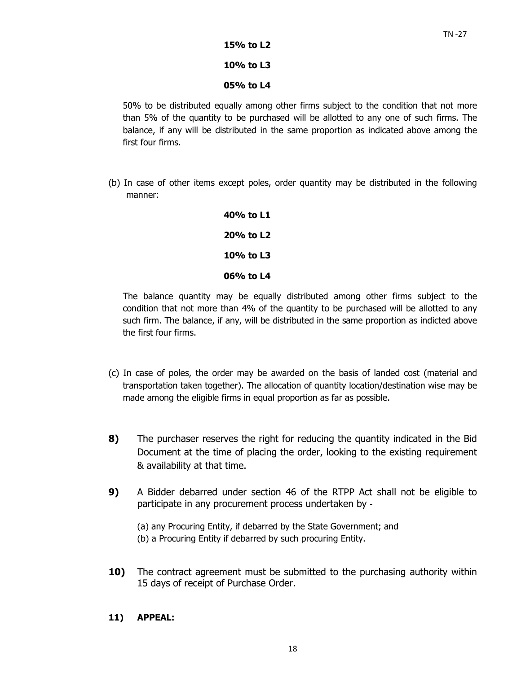#### **15% to L2**

#### **10% to L3**

#### **05% to L4**

50% to be distributed equally among other firms subject to the condition that not more than 5% of the quantity to be purchased will be allotted to any one of such firms. The balance, if any will be distributed in the same proportion as indicated above among the first four firms.

(b) In case of other items except poles, order quantity may be distributed in the following manner:

| 40% to L1 |  |
|-----------|--|
| 20% to L2 |  |
| 10% to L3 |  |
| 06% to L4 |  |

The balance quantity may be equally distributed among other firms subject to the condition that not more than 4% of the quantity to be purchased will be allotted to any such firm. The balance, if any, will be distributed in the same proportion as indicted above the first four firms.

- (c) In case of poles, the order may be awarded on the basis of landed cost (material and transportation taken together). The allocation of quantity location/destination wise may be made among the eligible firms in equal proportion as far as possible.
- **8)** The purchaser reserves the right for reducing the quantity indicated in the Bid Document at the time of placing the order, looking to the existing requirement & availability at that time.
- **9)** A Bidder debarred under section 46 of the RTPP Act shall not be eligible to participate in any procurement process undertaken by ‐
	- (a) any Procuring Entity, if debarred by the State Government; and
	- (b) a Procuring Entity if debarred by such procuring Entity.
- **10)** The contract agreement must be submitted to the purchasing authority within 15 days of receipt of Purchase Order.

### **11) APPEAL:**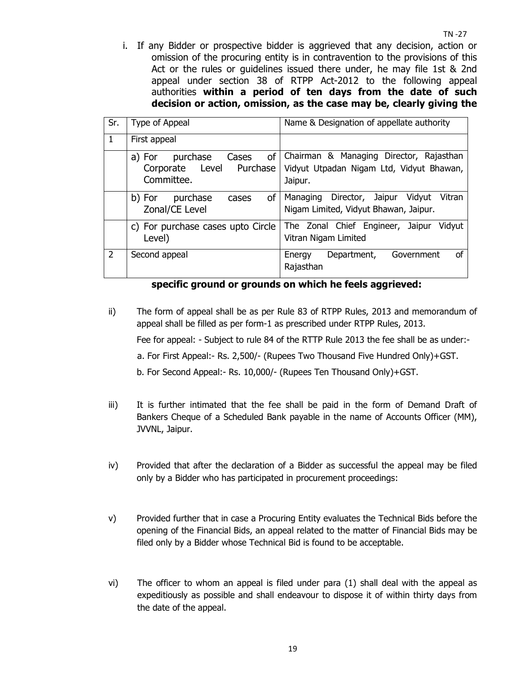i. If any Bidder or prospective bidder is aggrieved that any decision, action or omission of the procuring entity is in contravention to the provisions of this Act or the rules or guidelines issued there under, he may file 1st & 2nd appeal under section 38 of RTPP Act-2012 to the following appeal authorities **within a period of ten days from the date of such decision or action, omission, as the case may be, clearly giving the** 

| Sr.           | Type of Appeal                                                              | Name & Designation of appellate authority                                                      |  |  |  |  |
|---------------|-----------------------------------------------------------------------------|------------------------------------------------------------------------------------------------|--|--|--|--|
| 1             | First appeal                                                                |                                                                                                |  |  |  |  |
|               | of<br>purchase<br>Cases<br>a) For<br>Corporate Level Purchase<br>Committee. | Chairman & Managing Director, Rajasthan<br>Vidyut Utpadan Nigam Ltd, Vidyut Bhawan,<br>Jaipur. |  |  |  |  |
|               | <b>of</b><br>purchase<br>b) For<br>cases<br>Zonal/CE Level                  | Director, Jaipur<br>Vidyut<br>Vitran<br>Managing<br>Nigam Limited, Vidyut Bhawan, Jaipur.      |  |  |  |  |
|               | c) For purchase cases upto Circle<br>Level)                                 | The Zonal Chief Engineer, Jaipur<br>Vidyut<br>Vitran Nigam Limited                             |  |  |  |  |
| $\mathcal{P}$ | Second appeal                                                               | Government<br>οf<br>Energy<br>Department,<br>Rajasthan                                         |  |  |  |  |

**specific ground or grounds on which he feels aggrieved:** 

- ii) The form of appeal shall be as per Rule 83 of RTPP Rules, 2013 and memorandum of appeal shall be filled as per form-1 as prescribed under RTPP Rules, 2013. Fee for appeal: - Subject to rule 84 of the RTTP Rule 2013 the fee shall be as under: a. For First Appeal:- Rs. 2,500/- (Rupees Two Thousand Five Hundred Only)+GST. b. For Second Appeal:- Rs. 10,000/- (Rupees Ten Thousand Only)+GST.
- iii) It is further intimated that the fee shall be paid in the form of Demand Draft of Bankers Cheque of a Scheduled Bank payable in the name of Accounts Officer (MM), JVVNL, Jaipur.
- iv) Provided that after the declaration of a Bidder as successful the appeal may be filed only by a Bidder who has participated in procurement proceedings:
- v) Provided further that in case a Procuring Entity evaluates the Technical Bids before the opening of the Financial Bids, an appeal related to the matter of Financial Bids may be filed only by a Bidder whose Technical Bid is found to be acceptable.
- vi) The officer to whom an appeal is filed under para (1) shall deal with the appeal as expeditiously as possible and shall endeavour to dispose it of within thirty days from the date of the appeal.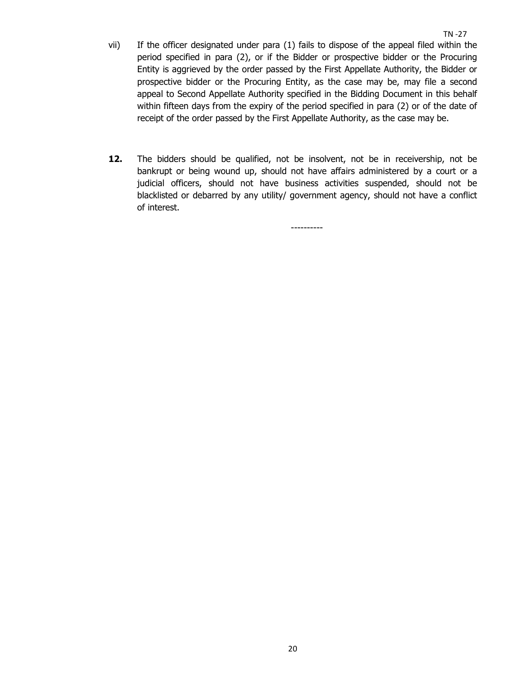- $TN 27$ vii) If the officer designated under para (1) fails to dispose of the appeal filed within the period specified in para (2), or if the Bidder or prospective bidder or the Procuring Entity is aggrieved by the order passed by the First Appellate Authority, the Bidder or prospective bidder or the Procuring Entity, as the case may be, may file a second appeal to Second Appellate Authority specified in the Bidding Document in this behalf within fifteen days from the expiry of the period specified in para (2) or of the date of receipt of the order passed by the First Appellate Authority, as the case may be.
- **12.** The bidders should be qualified, not be insolvent, not be in receivership, not be bankrupt or being wound up, should not have affairs administered by a court or a judicial officers, should not have business activities suspended, should not be blacklisted or debarred by any utility/ government agency, should not have a conflict of interest.

----------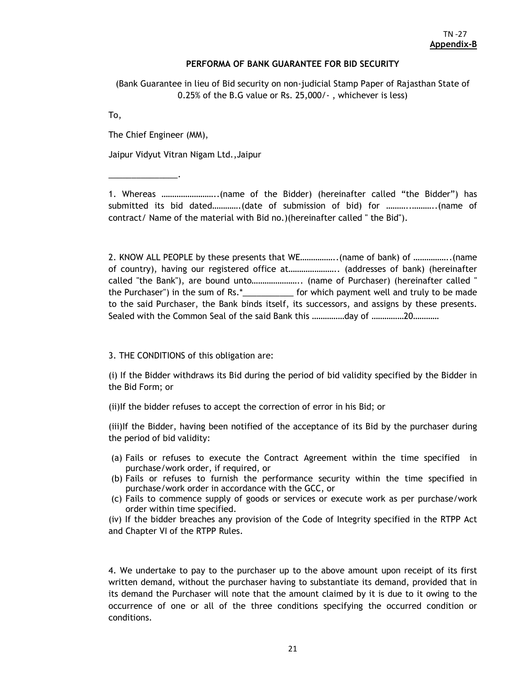#### **PERFORMA OF BANK GUARANTEE FOR BID SECURITY**

(Bank Guarantee in lieu of Bid security on non-judicial Stamp Paper of Rajasthan State of 0.25% of the B.G value or Rs. 25,000/- , whichever is less)

To,

The Chief Engineer (MM),

\_\_\_\_\_\_\_\_\_\_\_\_\_\_\_.

Jaipur Vidyut Vitran Nigam Ltd.,Jaipur

1. Whereas ……………………..(name of the Bidder) (hereinafter called "the Bidder") has submitted its bid dated………….(date of submission of bid) for ………..………..(name of contract/ Name of the material with Bid no.)(hereinafter called " the Bid").

2. KNOW ALL PEOPLE by these presents that WE……………..(name of bank) of ……………..(name of country), having our registered office at………………….. (addresses of bank) (hereinafter called "the Bank"), are bound unto………………….. (name of Purchaser) (hereinafter called " the Purchaser") in the sum of Rs.\*\_\_\_\_\_\_\_\_\_\_\_ for which payment well and truly to be made to the said Purchaser, the Bank binds itself, its successors, and assigns by these presents. Sealed with the Common Seal of the said Bank this ……………day of ……………20…………

3. THE CONDITIONS of this obligation are:

(i) If the Bidder withdraws its Bid during the period of bid validity specified by the Bidder in the Bid Form; or

(ii)If the bidder refuses to accept the correction of error in his Bid; or

(iii)If the Bidder, having been notified of the acceptance of its Bid by the purchaser during the period of bid validity:

- (a) Fails or refuses to execute the Contract Agreement within the time specified in purchase/work order, if required, or
- (b) Fails or refuses to furnish the performance security within the time specified in purchase/work order in accordance with the GCC, or
- (c) Fails to commence supply of goods or services or execute work as per purchase/work order within time specified.

(iv) If the bidder breaches any provision of the Code of Integrity specified in the RTPP Act and Chapter VI of the RTPP Rules.

4. We undertake to pay to the purchaser up to the above amount upon receipt of its first written demand, without the purchaser having to substantiate its demand, provided that in its demand the Purchaser will note that the amount claimed by it is due to it owing to the occurrence of one or all of the three conditions specifying the occurred condition or conditions.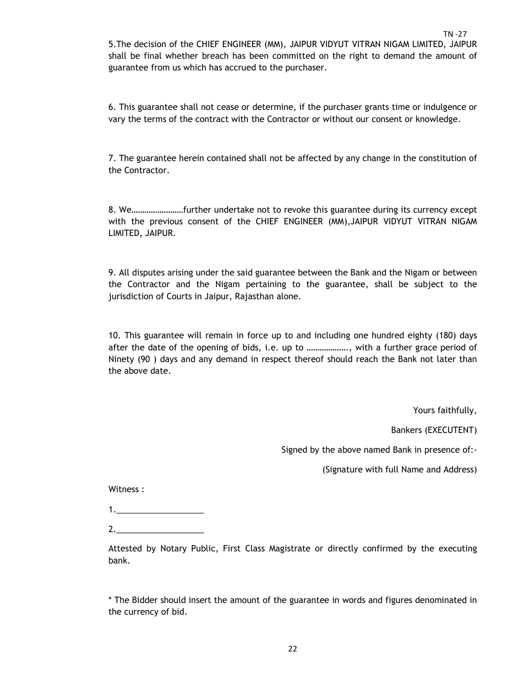$TN - 27$ 5.The decision of the CHIEF ENGINEER (MM), JAIPUR VIDYUT VITRAN NIGAM LIMITED, JAIPUR shall be final whether breach has been committed on the right to demand the amount of guarantee from us which has accrued to the purchaser.

6. This guarantee shall not cease or determine, if the purchaser grants time or indulgence or vary the terms of the contract with the Contractor or without our consent or knowledge.

7. The guarantee herein contained shall not be affected by any change in the constitution of the Contractor.

8. We……………………further undertake not to revoke this guarantee during its currency except with the previous consent of the CHIEF ENGINEER (MM),JAIPUR VIDYUT VITRAN NIGAM LIMITED, JAIPUR.

9. All disputes arising under the said guarantee between the Bank and the Nigam or between the Contractor and the Nigam pertaining to the guarantee, shall be subject to the jurisdiction of Courts in Jaipur, Rajasthan alone.

10. This guarantee will remain in force up to and including one hundred eighty (180) days after the date of the opening of bids, i.e. up to ………………., with a further grace period of Ninety (90 ) days and any demand in respect thereof should reach the Bank not later than the above date.

Yours faithfully,

Bankers (EXECUTENT)

Signed by the above named Bank in presence of:-

(Signature with full Name and Address)

Witness :

1.\_\_\_\_\_\_\_\_\_\_\_\_\_\_\_\_\_\_\_

2.\_\_\_\_\_\_\_\_\_\_\_\_\_\_\_\_\_\_\_

Attested by Notary Public, First Class Magistrate or directly confirmed by the executing bank.

\* The Bidder should insert the amount of the guarantee in words and figures denominated in the currency of bid.

22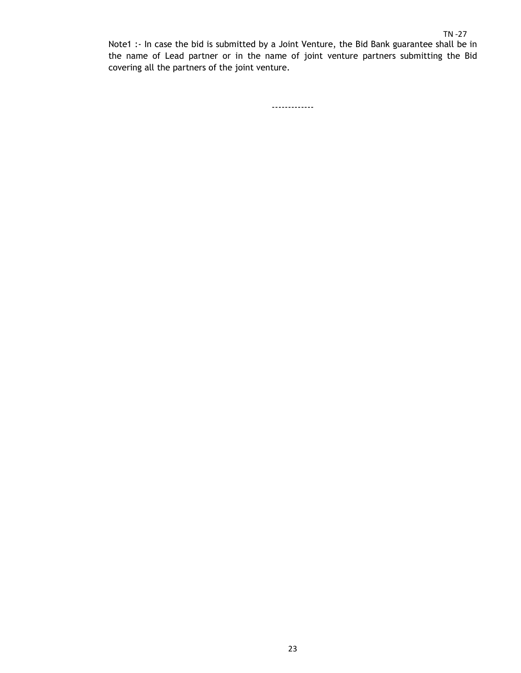Note1 :- In case the bid is submitted by a Joint Venture, the Bid Bank guarantee shall be in the name of Lead partner or in the name of joint venture partners submitting the Bid covering all the partners of the joint venture.

-------------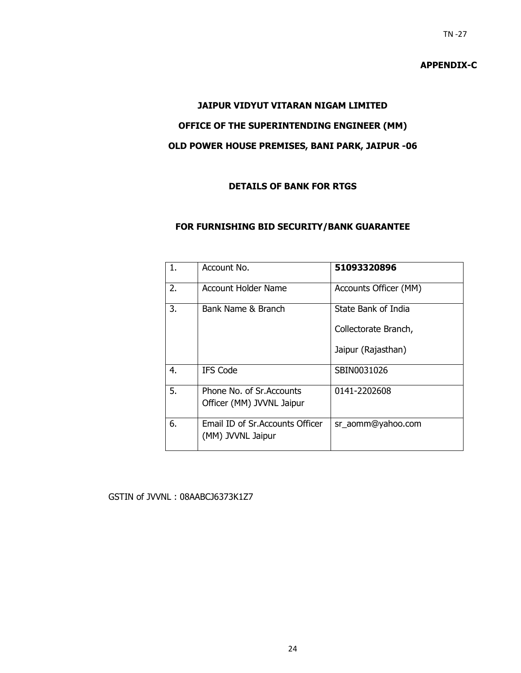#### **APPENDIX-C**

#### **JAIPUR VIDYUT VITARAN NIGAM LIMITED**

### **OFFICE OF THE SUPERINTENDING ENGINEER (MM)**

# **OLD POWER HOUSE PREMISES, BANI PARK, JAIPUR -06**

### **DETAILS OF BANK FOR RTGS**

#### **FOR FURNISHING BID SECURITY/BANK GUARANTEE**

| 1. | Account No.                                            | 51093320896           |
|----|--------------------------------------------------------|-----------------------|
| 2. | Account Holder Name                                    | Accounts Officer (MM) |
| 3. | Bank Name & Branch                                     | State Bank of India   |
|    |                                                        | Collectorate Branch,  |
|    |                                                        | Jaipur (Rajasthan)    |
| 4. | <b>IFS Code</b>                                        | SBIN0031026           |
| 5. | Phone No. of Sr. Accounts<br>Officer (MM) JVVNL Jaipur | 0141-2202608          |
| 6. | Email ID of Sr. Accounts Officer<br>(MM) JVVNL Jaipur  | sr_aomm@yahoo.com     |

### GSTIN of JVVNL : 08AABCJ6373K1Z7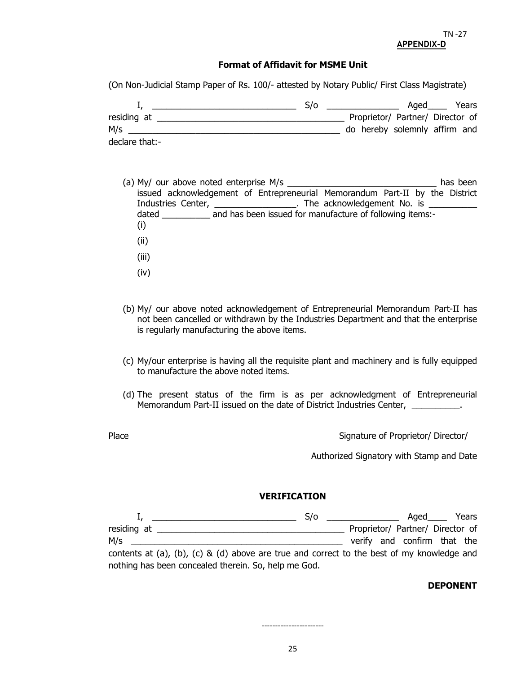#### **Format of Affidavit for MSME Unit**

(On Non-Judicial Stamp Paper of Rs. 100/- attested by Notary Public/ First Class Magistrate)

|                | S/O |                                  | Aged | Years |
|----------------|-----|----------------------------------|------|-------|
| residing at    |     | Proprietor/ Partner/ Director of |      |       |
| M/s            |     | do hereby solemnly affirm and    |      |       |
| declare that:- |     |                                  |      |       |

- (a) My/ our above noted enterprise M/s \_\_\_\_\_\_\_\_\_\_\_\_\_\_\_\_\_\_\_\_\_\_\_\_\_\_\_\_\_\_\_ has been issued acknowledgement of Entrepreneurial Memorandum Part-II by the District Industries Center, \_\_\_\_\_\_\_\_\_\_\_\_\_\_\_\_\_\_. The acknowledgement No. is \_\_\_\_\_\_\_\_\_\_\_\_\_\_ dated \_\_\_\_\_\_\_\_\_\_\_\_ and has been issued for manufacture of following items:-(i) (ii)
	- (iii)
	- (iv)
- (b) My/ our above noted acknowledgement of Entrepreneurial Memorandum Part-II has not been cancelled or withdrawn by the Industries Department and that the enterprise is regularly manufacturing the above items.
- (c) My/our enterprise is having all the requisite plant and machinery and is fully equipped to manufacture the above noted items.
- (d) The present status of the firm is as per acknowledgment of Entrepreneurial Memorandum Part-II issued on the date of District Industries Center, \_\_\_\_\_\_\_\_\_\_.

Place **Signature of Proprietor/ Director/** 

Authorized Signatory with Stamp and Date

#### **VERIFICATION**

|                                                                                            |  |  | S/O |  | Aged                             | Years |
|--------------------------------------------------------------------------------------------|--|--|-----|--|----------------------------------|-------|
| residing at                                                                                |  |  |     |  | Proprietor/ Partner/ Director of |       |
| M/s                                                                                        |  |  |     |  | verify and confirm that the      |       |
| contents at (a), (b), (c) & (d) above are true and correct to the best of my knowledge and |  |  |     |  |                                  |       |

nothing has been concealed therein. So, help me God.

#### **DEPONENT**

-----------------------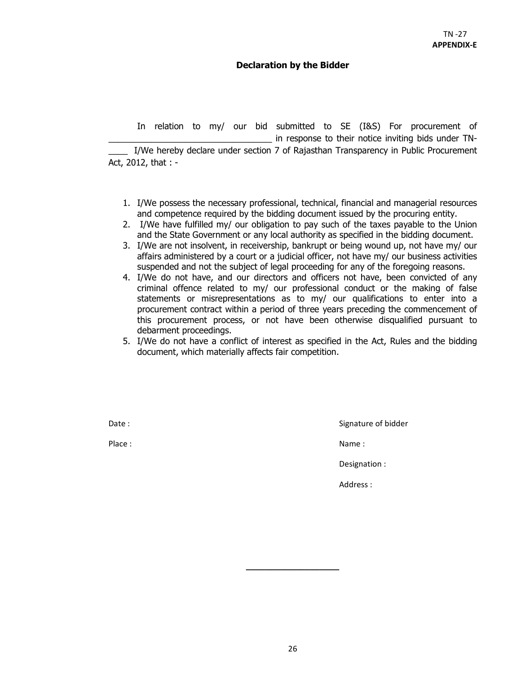### **Declaration by the Bidder**

 In relation to my/ our bid submitted to SE (I&S) For procurement of in response to their notice inviting bids under TN-I/We hereby declare under section 7 of Rajasthan Transparency in Public Procurement Act, 2012, that : -

- 1. I/We possess the necessary professional, technical, financial and managerial resources and competence required by the bidding document issued by the procuring entity.
- 2. I/We have fulfilled my/ our obligation to pay such of the taxes payable to the Union and the State Government or any local authority as specified in the bidding document.
- 3. I/We are not insolvent, in receivership, bankrupt or being wound up, not have my/ our affairs administered by a court or a judicial officer, not have my/ our business activities suspended and not the subject of legal proceeding for any of the foregoing reasons.
- 4. I/We do not have, and our directors and officers not have, been convicted of any criminal offence related to my/ our professional conduct or the making of false statements or misrepresentations as to my/ our qualifications to enter into a procurement contract within a period of three years preceding the commencement of this procurement process, or not have been otherwise disqualified pursuant to debarment proceedings.
- 5. I/We do not have a conflict of interest as specified in the Act, Rules and the bidding document, which materially affects fair competition.

Date : Signature of bidder in the Signature of bidder in the Signature of bidder

Place : Name : Name : Name : Name : Name : Name : Name : Name : Name : Name : Name : Name : Name : Name :  $\mathbb{R}^2$ 

Designation :

Address :

**\_\_\_\_\_\_\_\_\_\_\_\_\_\_\_\_\_\_\_**